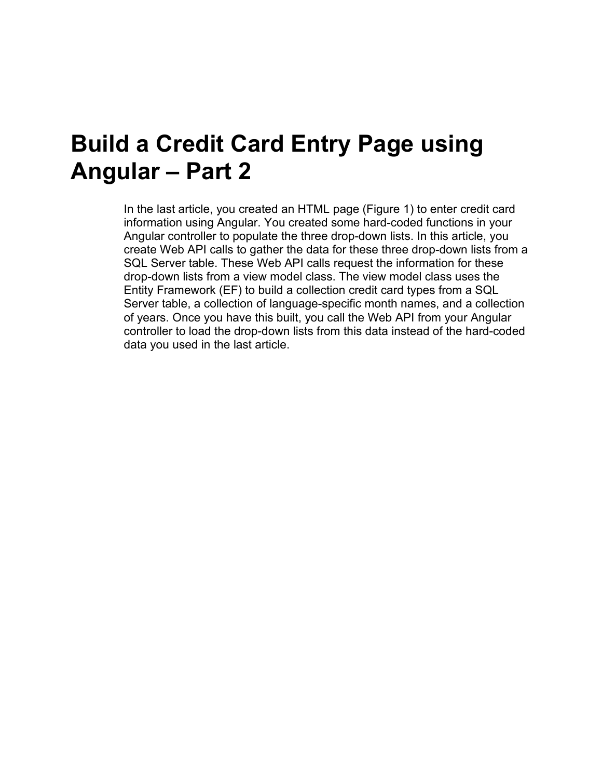## **Build a Credit Card Entry Page using Angular – Part 2**

In the last article, you created an HTML page [\(Figure 1\)](#page-1-0) to enter credit card information using Angular. You created some hard-coded functions in your Angular controller to populate the three drop-down lists. In this article, you create Web API calls to gather the data for these three drop-down lists from a SQL Server table. These Web API calls request the information for these drop-down lists from a view model class. The view model class uses the Entity Framework (EF) to build a collection credit card types from a SQL Server table, a collection of language-specific month names, and a collection of years. Once you have this built, you call the Web API from your Angular controller to load the drop-down lists from this data instead of the hard-coded data you used in the last article.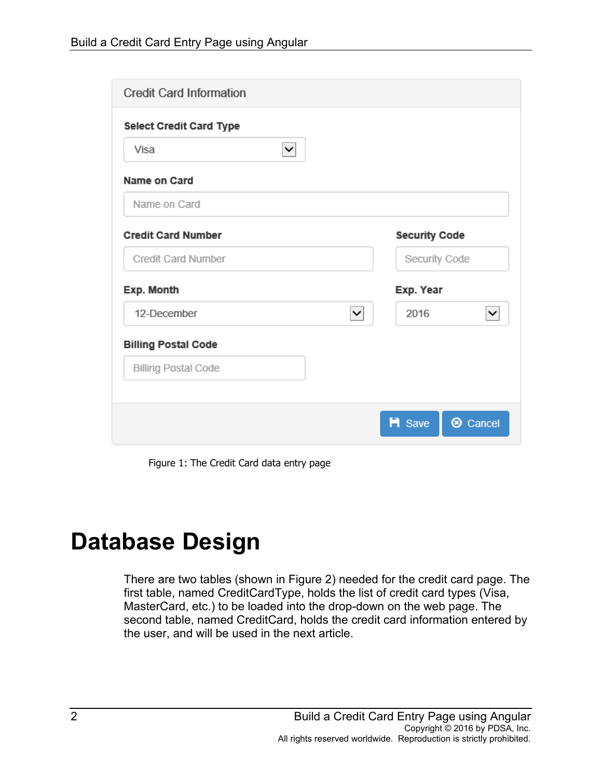| <b>Credit Card Information</b> |                                      |
|--------------------------------|--------------------------------------|
| <b>Select Credit Card Type</b> |                                      |
| $\checkmark$<br>Visa           |                                      |
| Name on Card                   |                                      |
| Name on Card                   |                                      |
| <b>Credit Card Number</b>      | <b>Security Code</b>                 |
| <b>Credit Card Number</b>      | Security Code                        |
| Exp. Month                     | Exp. Year                            |
| 12-December<br>$\checkmark$    | 2016<br>✓                            |
| <b>Billing Postal Code</b>     |                                      |
| <b>Billing Postal Code</b>     |                                      |
|                                |                                      |
|                                | <b>H</b> Save<br><sup>®</sup> Cancel |

Figure 1: The Credit Card data entry page

## <span id="page-1-0"></span>**Database Design**

There are two tables (shown in [Figure 2\)](#page-2-0) needed for the credit card page. The first table, named CreditCardType, holds the list of credit card types (Visa, MasterCard, etc.) to be loaded into the drop-down on the web page. The second table, named CreditCard, holds the credit card information entered by the user, and will be used in the next article.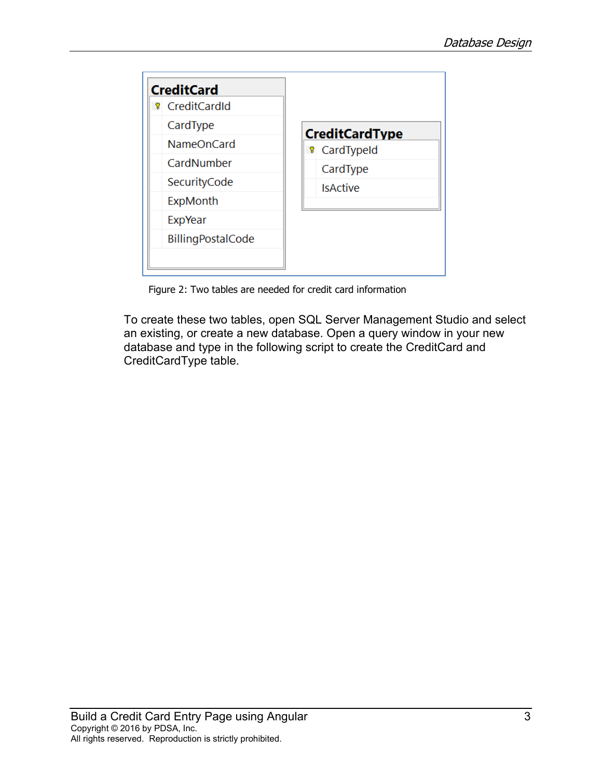

Figure 2: Two tables are needed for credit card information

<span id="page-2-0"></span>To create these two tables, open SQL Server Management Studio and select an existing, or create a new database. Open a query window in your new database and type in the following script to create the CreditCard and CreditCardType table.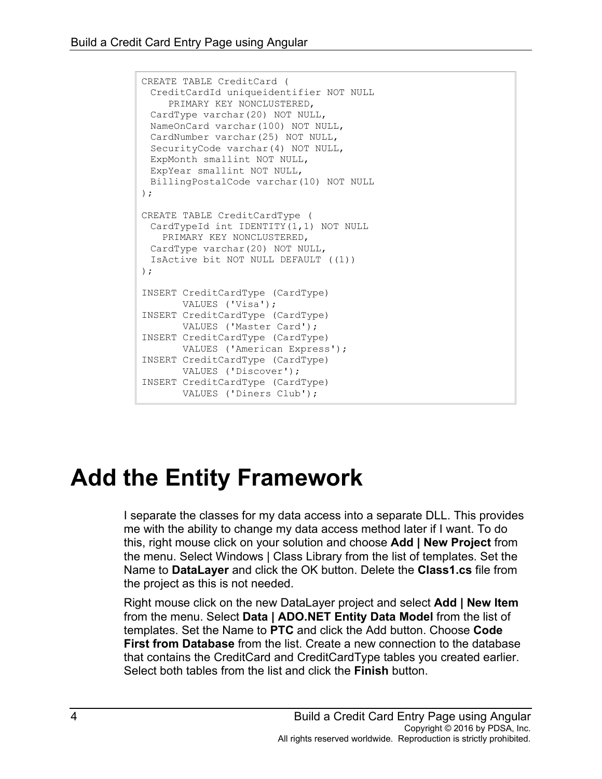```
CREATE TABLE CreditCard (
 CreditCardId uniqueidentifier NOT NULL 
    PRIMARY KEY NONCLUSTERED,
 CardType varchar(20) NOT NULL,
 NameOnCard varchar(100) NOT NULL,
 CardNumber varchar(25) NOT NULL,
 SecurityCode varchar(4) NOT NULL,
 ExpMonth smallint NOT NULL,
 ExpYear smallint NOT NULL,
 BillingPostalCode varchar(10) NOT NULL
);
CREATE TABLE CreditCardType (
 CardTypeId int IDENTITY(1,1) NOT NULL 
   PRIMARY KEY NONCLUSTERED,
 CardType varchar(20) NOT NULL,
 IsActive bit NOT NULL DEFAULT ((1)) 
);
INSERT CreditCardType (CardType)
      VALUES ('Visa');
INSERT CreditCardType (CardType) 
  VALUES ('Master Card');
INSERT CreditCardType (CardType) 
      VALUES ('American Express');
INSERT CreditCardType (CardType) 
   VALUES ('Discover');
INSERT CreditCardType (CardType) 
       VALUES ('Diners Club');
```
## **Add the Entity Framework**

I separate the classes for my data access into a separate DLL. This provides me with the ability to change my data access method later if I want. To do this, right mouse click on your solution and choose **Add | New Project** from the menu. Select Windows | Class Library from the list of templates. Set the Name to **DataLayer** and click the OK button. Delete the **Class1.cs** file from the project as this is not needed.

Right mouse click on the new DataLayer project and select **Add | New Item** from the menu. Select **Data | ADO.NET Entity Data Model** from the list of templates. Set the Name to **PTC** and click the Add button. Choose **Code First from Database** from the list. Create a new connection to the database that contains the CreditCard and CreditCardType tables you created earlier. Select both tables from the list and click the **Finish** button.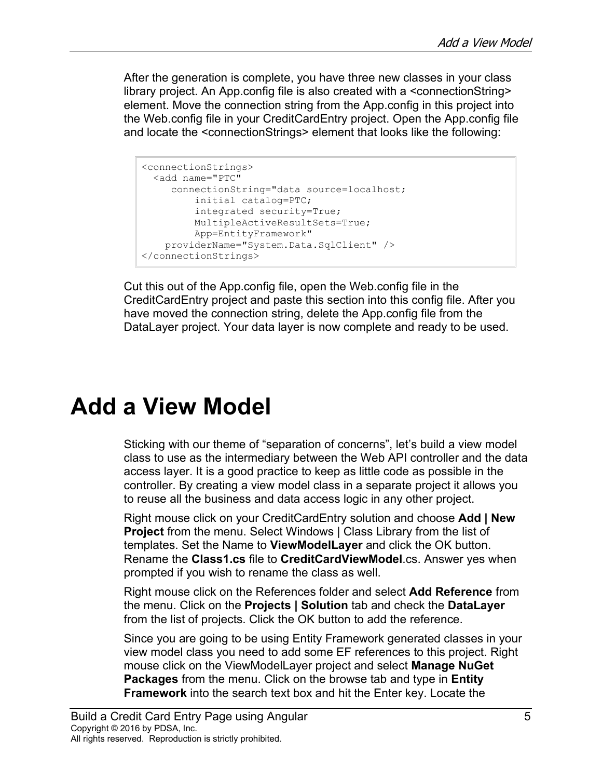After the generation is complete, you have three new classes in your class library project. An App.config file is also created with a <connectionString> element. Move the connection string from the App.config in this project into the Web.config file in your CreditCardEntry project. Open the App.config file and locate the <connectionStrings> element that looks like the following:

```
<connectionStrings>
 <add name="PTC"
     connectionString="data source=localhost;
          initial catalog=PTC;
          integrated security=True;
          MultipleActiveResultSets=True;
          App=EntityFramework"
     providerName="System.Data.SqlClient" />
</connectionStrings>
```
Cut this out of the App.config file, open the Web.config file in the CreditCardEntry project and paste this section into this config file. After you have moved the connection string, delete the App.config file from the DataLayer project. Your data layer is now complete and ready to be used.

## **Add a View Model**

Sticking with our theme of "separation of concerns", let's build a view model class to use as the intermediary between the Web API controller and the data access layer. It is a good practice to keep as little code as possible in the controller. By creating a view model class in a separate project it allows you to reuse all the business and data access logic in any other project.

Right mouse click on your CreditCardEntry solution and choose **Add | New Project** from the menu. Select Windows | Class Library from the list of templates. Set the Name to **ViewModelLayer** and click the OK button. Rename the **Class1.cs** file to **CreditCardViewModel**.cs. Answer yes when prompted if you wish to rename the class as well.

Right mouse click on the References folder and select **Add Reference** from the menu. Click on the **Projects | Solution** tab and check the **DataLayer** from the list of projects. Click the OK button to add the reference.

Since you are going to be using Entity Framework generated classes in your view model class you need to add some EF references to this project. Right mouse click on the ViewModelLayer project and select **Manage NuGet Packages** from the menu. Click on the browse tab and type in **Entity Framework** into the search text box and hit the Enter key. Locate the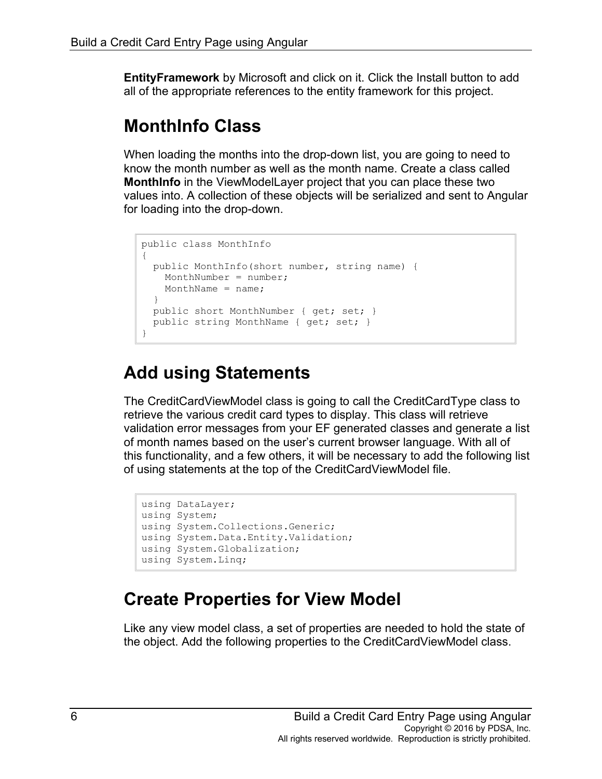**EntityFramework** by Microsoft and click on it. Click the Install button to add all of the appropriate references to the entity framework for this project.

#### **MonthInfo Class**

When loading the months into the drop-down list, you are going to need to know the month number as well as the month name. Create a class called **MonthInfo** in the ViewModelLayer project that you can place these two values into. A collection of these objects will be serialized and sent to Angular for loading into the drop-down.

```
public class MonthInfo
{
  public MonthInfo(short number, string name) {
   MonthNumber = number;
    MonthName = name;
  }
  public short MonthNumber { get; set; }
  public string MonthName { get; set; }
}
```
#### **Add using Statements**

The CreditCardViewModel class is going to call the CreditCardType class to retrieve the various credit card types to display. This class will retrieve validation error messages from your EF generated classes and generate a list of month names based on the user's current browser language. With all of this functionality, and a few others, it will be necessary to add the following list of using statements at the top of the CreditCardViewModel file.

```
using DataLayer;
using System;
using System.Collections.Generic;
using System.Data.Entity.Validation;
using System.Globalization;
using System.Linq;
```
#### **Create Properties for View Model**

Like any view model class, a set of properties are needed to hold the state of the object. Add the following properties to the CreditCardViewModel class.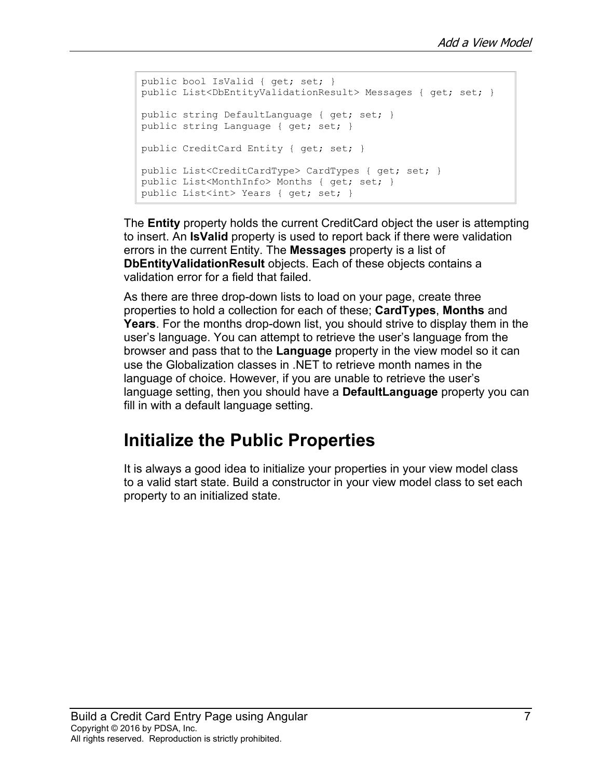```
public bool IsValid { get; set; }
public List<DbEntityValidationResult> Messages { get; set; }
public string DefaultLanguage { get; set; }
public string Language { get; set; }
public CreditCard Entity { get; set; }
public List<CreditCardType> CardTypes { get; set; }
public List<MonthInfo> Months { get; set; }
public List<int> Years { get; set; }
```
The **Entity** property holds the current CreditCard object the user is attempting to insert. An **IsValid** property is used to report back if there were validation errors in the current Entity. The **Messages** property is a list of **DbEntityValidationResult** objects. Each of these objects contains a validation error for a field that failed.

As there are three drop-down lists to load on your page, create three properties to hold a collection for each of these; **CardTypes**, **Months** and **Years**. For the months drop-down list, you should strive to display them in the user's language. You can attempt to retrieve the user's language from the browser and pass that to the **Language** property in the view model so it can use the Globalization classes in .NET to retrieve month names in the language of choice. However, if you are unable to retrieve the user's language setting, then you should have a **DefaultLanguage** property you can fill in with a default language setting.

#### **Initialize the Public Properties**

It is always a good idea to initialize your properties in your view model class to a valid start state. Build a constructor in your view model class to set each property to an initialized state.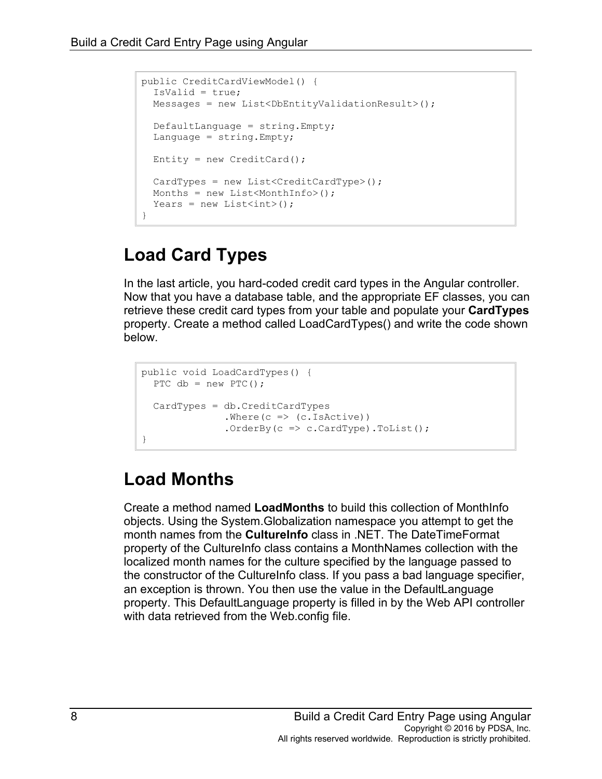```
public CreditCardViewModel() {
  IsValid = true;
 Messages = new List<DbEntityValidationResult>();
  DefaultLanguage = string.Empty;
 Language = string.Fmpty;Entity = new CreditCard();
 CardTypes = new List<CreditCardType>();
 Months = new List<MonthInfo>();
 Years = new List<int>();
}
```
### **Load Card Types**

In the last article, you hard-coded credit card types in the Angular controller. Now that you have a database table, and the appropriate EF classes, you can retrieve these credit card types from your table and populate your **CardTypes** property. Create a method called LoadCardTypes() and write the code shown below.

```
public void LoadCardTypes() {
 PTC db = new PTC();
  CardTypes = db.CreditCardTypes
              .Where(c => (c.IsActive))
               .OrderBy(c \Rightarrow c.CardType).ToList();
}
```
### **Load Months**

Create a method named **LoadMonths** to build this collection of MonthInfo objects. Using the System.Globalization namespace you attempt to get the month names from the **CultureInfo** class in .NET. The DateTimeFormat property of the CultureInfo class contains a MonthNames collection with the localized month names for the culture specified by the language passed to the constructor of the CultureInfo class. If you pass a bad language specifier, an exception is thrown. You then use the value in the DefaultLanguage property. This DefaultLanguage property is filled in by the Web API controller with data retrieved from the Web.config file.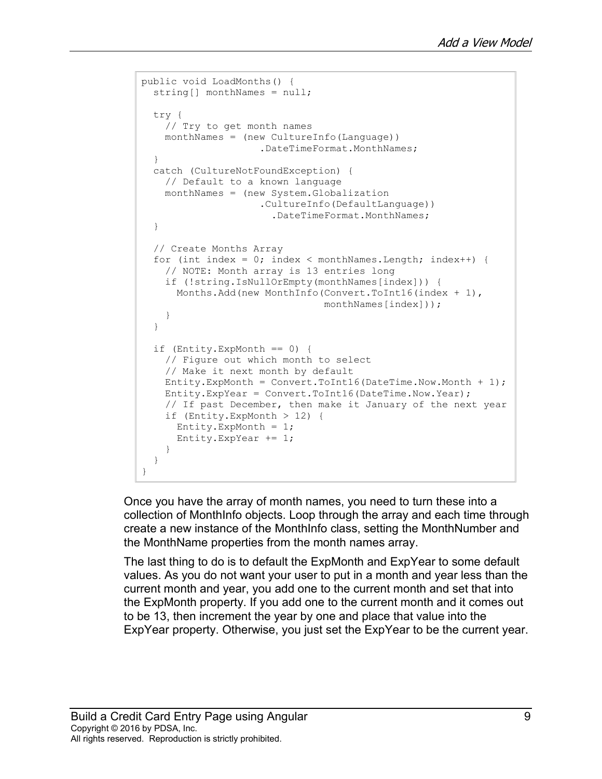```
public void LoadMonths() {
 string[] monthNames = null;
  try {
    // Try to get month names
   monthNames = (new CultureInfo(Language))
                     .DateTimeFormat.MonthNames;
  }
   catch (CultureNotFoundException) {
    // Default to a known language
    monthNames = (new System.Globalization
                     .CultureInfo(DefaultLanguage))
                        .DateTimeFormat.MonthNames;
   }
   // Create Months Array
  for (int index = 0; index < monthNames. Length; index++) {
    // NOTE: Month array is 13 entries long
    if (!string.IsNullOrEmpty(monthNames[index])) {
     Months.Add(new MonthInfo(Convert.ToInt16(index + 1),
                                 monthNames[index]));
     }
   }
  if (Entity.ExpMonth == 0) {
    // Figure out which month to select
    // Make it next month by default
   Entity.ExpMonth = Convert.Tolnt16(Daterime.Now.Month + 1); Entity.ExpYear = Convert.ToInt16(DateTime.Now.Year);
     // If past December, then make it January of the next year
     if (Entity.ExpMonth > 12) {
      Entity.ExpMonth = 1;
      Entity. ExpYear += 1; }
  }
}
```
Once you have the array of month names, you need to turn these into a collection of MonthInfo objects. Loop through the array and each time through create a new instance of the MonthInfo class, setting the MonthNumber and the MonthName properties from the month names array.

The last thing to do is to default the ExpMonth and ExpYear to some default values. As you do not want your user to put in a month and year less than the current month and year, you add one to the current month and set that into the ExpMonth property. If you add one to the current month and it comes out to be 13, then increment the year by one and place that value into the ExpYear property. Otherwise, you just set the ExpYear to be the current year.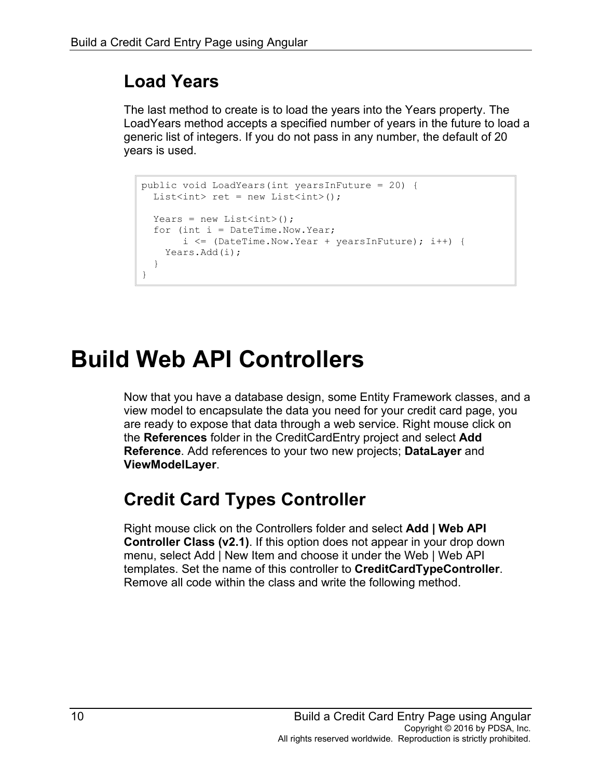### **Load Years**

The last method to create is to load the years into the Years property. The LoadYears method accepts a specified number of years in the future to load a generic list of integers. If you do not pass in any number, the default of 20 years is used.

```
public void LoadYears(int yearsInFuture = 20) {
 List<int> ret = new List<int>();
 Years = new List<int>();
 for (int i = DateTime. Now. Year;
      i \leq (Daterime. Now. Year + yearsInFuture); i++) Years.Add(i);
  }
}
```
## **Build Web API Controllers**

Now that you have a database design, some Entity Framework classes, and a view model to encapsulate the data you need for your credit card page, you are ready to expose that data through a web service. Right mouse click on the **References** folder in the CreditCardEntry project and select **Add Reference**. Add references to your two new projects; **DataLayer** and **ViewModelLayer**.

### **Credit Card Types Controller**

Right mouse click on the Controllers folder and select **Add | Web API Controller Class (v2.1)**. If this option does not appear in your drop down menu, select Add | New Item and choose it under the Web | Web API templates. Set the name of this controller to **CreditCardTypeController**. Remove all code within the class and write the following method.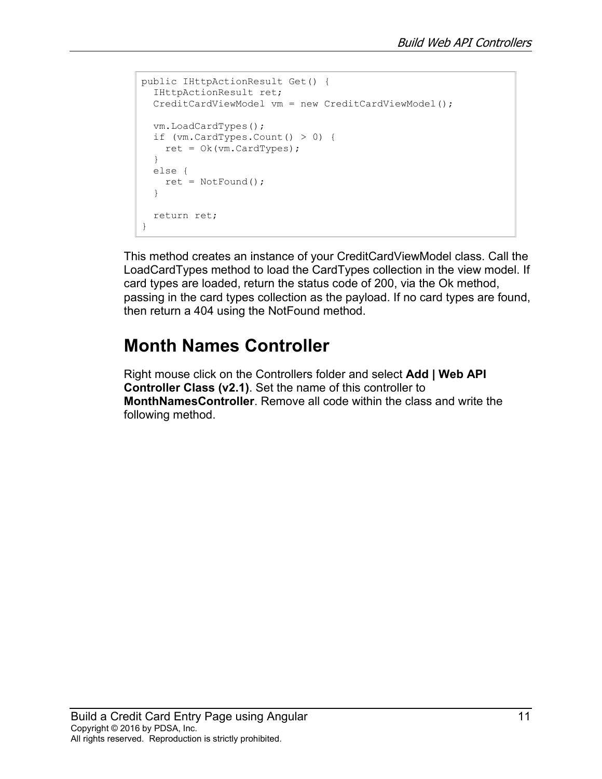```
public IHttpActionResult Get() {
  IHttpActionResult ret;
  CreditCardViewModel vm = new CreditCardViewModel();
  vm.LoadCardTypes();
  if (vm.CardTypes.Count() > 0) { 
   ret = 0k(vm.CardTypes);
  }
  else {
   ret = NotFound();
   }
  return ret;
}
```
This method creates an instance of your CreditCardViewModel class. Call the LoadCardTypes method to load the CardTypes collection in the view model. If card types are loaded, return the status code of 200, via the Ok method, passing in the card types collection as the payload. If no card types are found, then return a 404 using the NotFound method.

#### **Month Names Controller**

Right mouse click on the Controllers folder and select **Add | Web API Controller Class (v2.1)**. Set the name of this controller to **MonthNamesController**. Remove all code within the class and write the following method.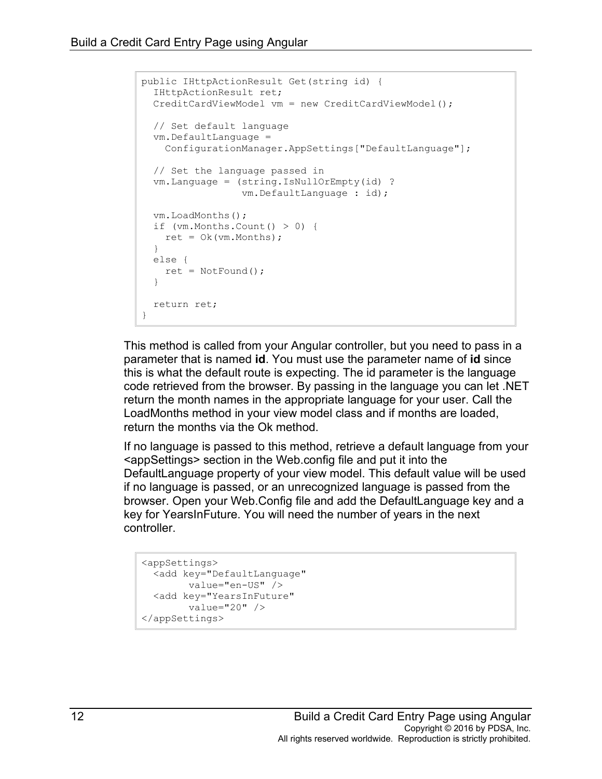```
public IHttpActionResult Get(string id) {
  IHttpActionResult ret;
  CreditCardViewModel vm = new CreditCardViewModel();
  // Set default language
  vm.DefaultLanguage =
    ConfigurationManager.AppSettings["DefaultLanguage"];
  // Set the language passed in
  vm.Language = (string.IsNullOrEmpty(id) ? 
                  vm.DefaultLanguage : id);
  vm.LoadMonths();
  if (vm.Months.Count() > 0) {
  ret = Ok(rm.Months); }
  else {
   ret = NotFound();
  }
  return ret;
}
```
This method is called from your Angular controller, but you need to pass in a parameter that is named **id**. You must use the parameter name of **id** since this is what the default route is expecting. The id parameter is the language code retrieved from the browser. By passing in the language you can let .NET return the month names in the appropriate language for your user. Call the LoadMonths method in your view model class and if months are loaded, return the months via the Ok method.

If no language is passed to this method, retrieve a default language from your <appSettings> section in the Web.config file and put it into the DefaultLanguage property of your view model. This default value will be used if no language is passed, or an unrecognized language is passed from the browser. Open your Web.Config file and add the DefaultLanguage key and a key for YearsInFuture. You will need the number of years in the next controller.

```
<appSettings>
  <add key="DefaultLanguage"
        value="en-US" />
  <add key="YearsInFuture"
        value="20" />
</appSettings>
```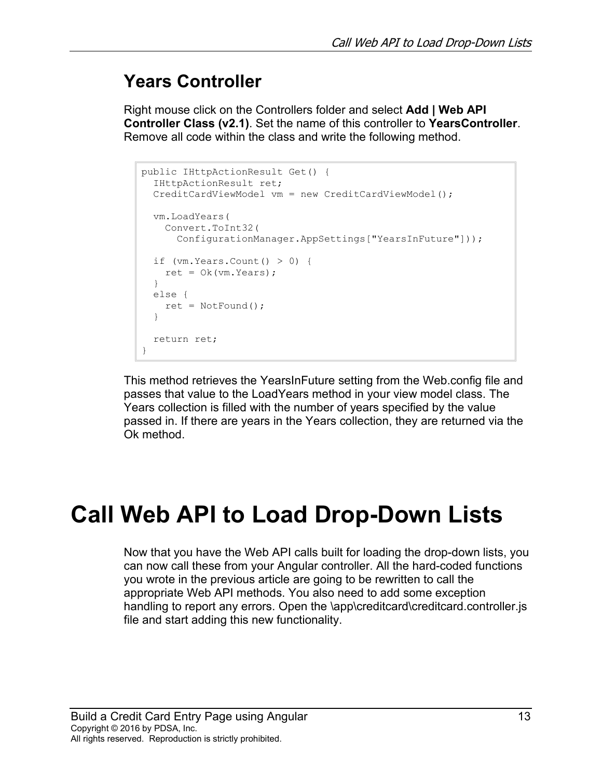#### **Years Controller**

Right mouse click on the Controllers folder and select **Add | Web API Controller Class (v2.1)**. Set the name of this controller to **YearsController**. Remove all code within the class and write the following method.

```
public IHttpActionResult Get() {
  IHttpActionResult ret;
   CreditCardViewModel vm = new CreditCardViewModel();
   vm.LoadYears(
    Convert.ToInt32(
      ConfigurationManager.AppSettings["YearsInFuture"]));
  if (\forall m.\text{Years}.Count() > 0) {
   ret = Ok(rm.Years); }
   else {
    ret = NotFound();
   }
  return ret;
}
```
This method retrieves the YearsInFuture setting from the Web.config file and passes that value to the LoadYears method in your view model class. The Years collection is filled with the number of years specified by the value passed in. If there are years in the Years collection, they are returned via the Ok method.

# **Call Web API to Load Drop-Down Lists**

Now that you have the Web API calls built for loading the drop-down lists, you can now call these from your Angular controller. All the hard-coded functions you wrote in the previous article are going to be rewritten to call the appropriate Web API methods. You also need to add some exception handling to report any errors. Open the \app\creditcard\creditcard.controller.js file and start adding this new functionality.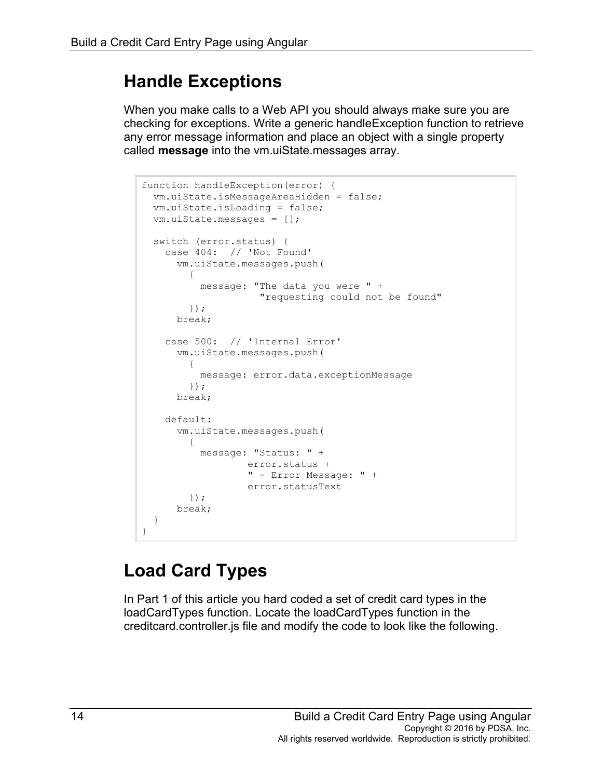#### **Handle Exceptions**

When you make calls to a Web API you should always make sure you are checking for exceptions. Write a generic handleException function to retrieve any error message information and place an object with a single property called **message** into the vm.uiState.messages array.

```
function handleException(error) {
  vm.uiState.isMessageAreaHidden = false;
  vm.uiState.isLoading = false;
  vm.uiState.messages = [];
  switch (error.status) {
    case 404: // 'Not Found'
      vm.uiState.messages.push(
\{ message: "The data you were " +
                    "requesting could not be found"
        });
      break;
    case 500: // 'Internal Error'
      vm.uiState.messages.push(
\{ message: error.data.exceptionMessage
        });
      break;
    default:
       vm.uiState.messages.push(
\{ message: "Status: " +
                  error.status +
                 " - Error Message: " +
                  error.statusText
        });
      break;
  }
}
```
## **Load Card Types**

In Part 1 of this article you hard coded a set of credit card types in the loadCardTypes function. Locate the loadCardTypes function in the creditcard.controller.js file and modify the code to look like the following.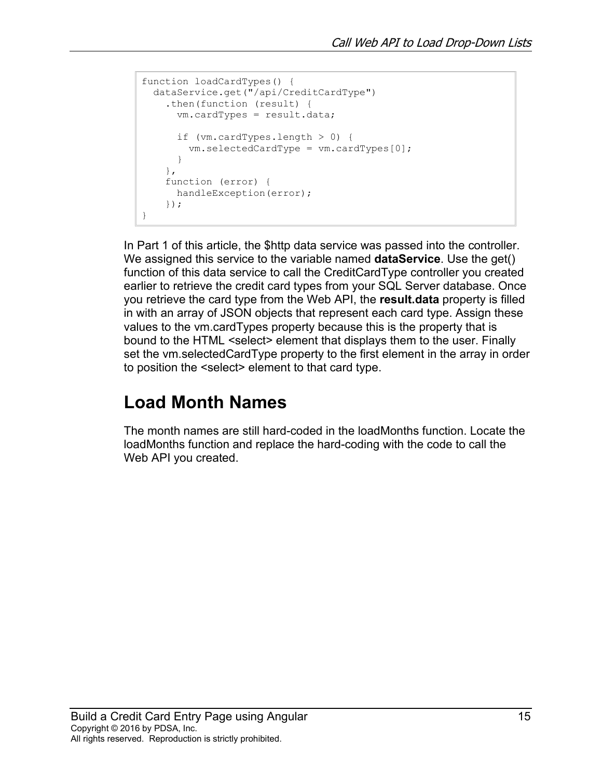```
function loadCardTypes() {
  dataService.get("/api/CreditCardType")
     .then(function (result) {
       vm.cardTypes = result.data;
       if (vm.cardTypes.length > 0) {
         vm.selectedCardType = vm.cardTypes[0];
       }
     },
     function (error) {
      handleException(error);
     });
}
```
In Part 1 of this article, the \$http data service was passed into the controller. We assigned this service to the variable named **dataService**. Use the get() function of this data service to call the CreditCardType controller you created earlier to retrieve the credit card types from your SQL Server database. Once you retrieve the card type from the Web API, the **result.data** property is filled in with an array of JSON objects that represent each card type. Assign these values to the vm.cardTypes property because this is the property that is bound to the HTML <select> element that displays them to the user. Finally set the vm.selectedCardType property to the first element in the array in order to position the <select> element to that card type.

### **Load Month Names**

The month names are still hard-coded in the loadMonths function. Locate the loadMonths function and replace the hard-coding with the code to call the Web API you created.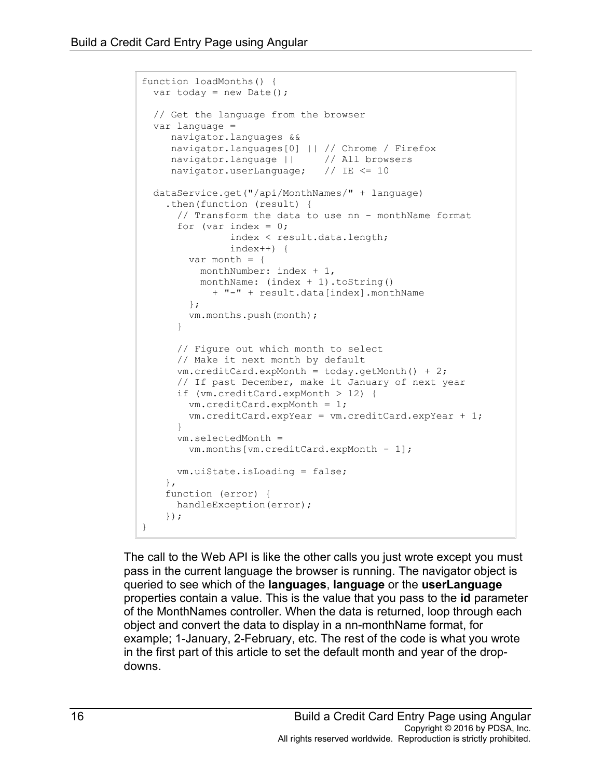```
function loadMonths() {
 var today = new Date();
  // Get the language from the browser
  var language = 
     navigator.languages && 
     navigator.languages[0] || // Chrome / Firefox
    navigator.language || // All browsers
     navigator.userLanguage; // IE <= 10
  dataService.get("/api/MonthNames/" + language)
     .then(function (result) {
      // Transform the data to use nn - monthName format
      for (var index = 0;
                index < result.data.length; 
                index++) {
       var month = {
          monthNumber: index + 1,
          monthName: (index + 1).toString() 
            + "-" + result.data[index].monthName
        };
        vm.months.push(month);
 }
       // Figure out which month to select
       // Make it next month by default
     vm.creditCard.expMonth = today.getMonth() + 2; // If past December, make it January of next year
       if (vm.creditCard.expMonth > 12) {
        vm.creditCard.expMonth = 1;
        vm.creditCard.expYear = vm.creditCard.expYear + 1;
       }
      vm.selectedMonth = 
        vm.months[vm.creditCard.expMonth - 1];
      vm.uiState.isLoading = false;
     },
     function (error) {
      handleException(error);
    });
}
```
The call to the Web API is like the other calls you just wrote except you must pass in the current language the browser is running. The navigator object is queried to see which of the **languages**, **language** or the **userLanguage** properties contain a value. This is the value that you pass to the **id** parameter of the MonthNames controller. When the data is returned, loop through each object and convert the data to display in a nn-monthName format, for example; 1-January, 2-February, etc. The rest of the code is what you wrote in the first part of this article to set the default month and year of the dropdowns.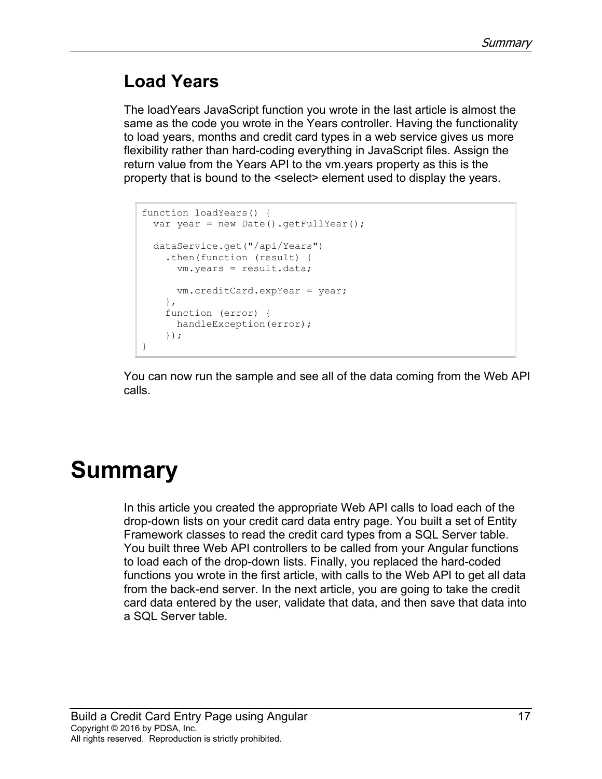### **Load Years**

The loadYears JavaScript function you wrote in the last article is almost the same as the code you wrote in the Years controller. Having the functionality to load years, months and credit card types in a web service gives us more flexibility rather than hard-coding everything in JavaScript files. Assign the return value from the Years API to the vm.years property as this is the property that is bound to the <select> element used to display the years.

```
function loadYears() {
  var year = new Date().getFullYear();
   dataService.get("/api/Years")
     .then(function (result) {
      vm.years = result.data;
      vm.creditCard.expYear = year;
     },
     function (error) {
      handleException(error);
     });
}
```
You can now run the sample and see all of the data coming from the Web API calls.

# **Summary**

In this article you created the appropriate Web API calls to load each of the drop-down lists on your credit card data entry page. You built a set of Entity Framework classes to read the credit card types from a SQL Server table. You built three Web API controllers to be called from your Angular functions to load each of the drop-down lists. Finally, you replaced the hard-coded functions you wrote in the first article, with calls to the Web API to get all data from the back-end server. In the next article, you are going to take the credit card data entered by the user, validate that data, and then save that data into a SQL Server table.